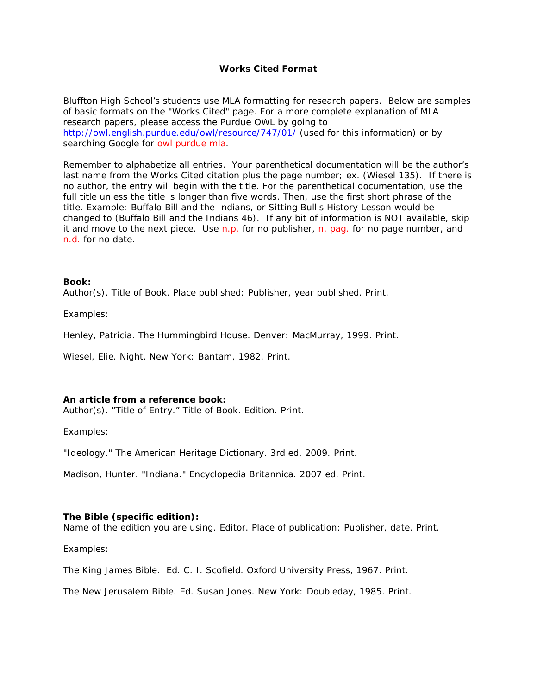# **Works Cited Format**

Bluffton High School's students use MLA formatting for research papers. Below are samples of basic formats on the "Works Cited" page. For a more complete explanation of MLA research papers, please access the Purdue OWL by going to <http://owl.english.purdue.edu/owl/resource/747/01/> (used for this information) or by searching Google for owl purdue mla.

Remember to alphabetize all entries. Your parenthetical documentation will be the author's last name from the Works Cited citation plus the page number; ex. (Wiesel 135). If there is no author, the entry will begin with the title. For the parenthetical documentation, use the full title unless the title is longer than five words. Then, use the first short phrase of the title. Example: *Buffalo Bill and the Indians, or Sitting Bull's History Lesson* would be changed to (*Buffalo Bill and the Indians* 46). If any bit of information is NOT available, skip it and move to the next piece. Use n.p. for no publisher, n. pag. for no page number, and n.d. for no date.

# **Book:**

Author(s). *Title of Book*. Place published: Publisher, year published. Print.

*Examples:* 

Henley, Patricia. *The Hummingbird House*. Denver: MacMurray, 1999. Print.

Wiesel, Elie. *Night*. New York: Bantam, 1982. Print.

### **An article from a reference book:**

Author(s). "Title of Entry." *Title of Book*. Edition. Print.

### *Examples:*

"Ideology." *The American Heritage Dictionary*. 3rd ed. 2009. Print.

Madison, Hunter. "Indiana." *Encyclopedia Britannica*. 2007 ed. Print.

# **The Bible (specific edition):**

*Name of the edition you are using.* Editor. Place of publication: Publisher, date. Print.

*Examples:*

*The King James Bible.* Ed. C. I. Scofield. Oxford University Press, 1967. Print.

*The New Jerusalem Bible*. Ed. Susan Jones. New York: Doubleday, 1985. Print.